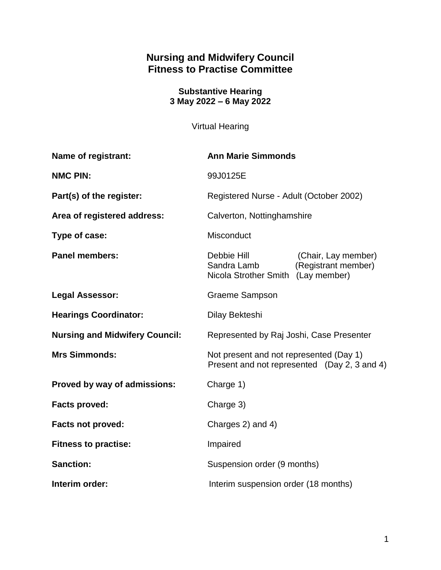# **Nursing and Midwifery Council Fitness to Practise Committee**

**Substantive Hearing 3 May 2022 – 6 May 2022**

Virtual Hearing

| Name of registrant:                   | <b>Ann Marie Simmonds</b>                                                                                      |  |
|---------------------------------------|----------------------------------------------------------------------------------------------------------------|--|
| <b>NMC PIN:</b>                       | 99J0125E                                                                                                       |  |
| Part(s) of the register:              | Registered Nurse - Adult (October 2002)                                                                        |  |
| Area of registered address:           | Calverton, Nottinghamshire                                                                                     |  |
| Type of case:                         | Misconduct                                                                                                     |  |
| <b>Panel members:</b>                 | Debbie Hill<br>(Chair, Lay member)<br>Sandra Lamb<br>(Registrant member)<br>Nicola Strother Smith (Lay member) |  |
| <b>Legal Assessor:</b>                | <b>Graeme Sampson</b>                                                                                          |  |
| <b>Hearings Coordinator:</b>          | Dilay Bekteshi                                                                                                 |  |
| <b>Nursing and Midwifery Council:</b> | Represented by Raj Joshi, Case Presenter                                                                       |  |
| <b>Mrs Simmonds:</b>                  | Not present and not represented (Day 1)<br>Present and not represented (Day 2, 3 and 4)                        |  |
| Proved by way of admissions:          | Charge 1)                                                                                                      |  |
| <b>Facts proved:</b>                  | Charge 3)                                                                                                      |  |
| <b>Facts not proved:</b>              | Charges 2) and 4)                                                                                              |  |
| <b>Fitness to practise:</b>           | Impaired                                                                                                       |  |
| <b>Sanction:</b>                      | Suspension order (9 months)                                                                                    |  |
| Interim order:                        | Interim suspension order (18 months)                                                                           |  |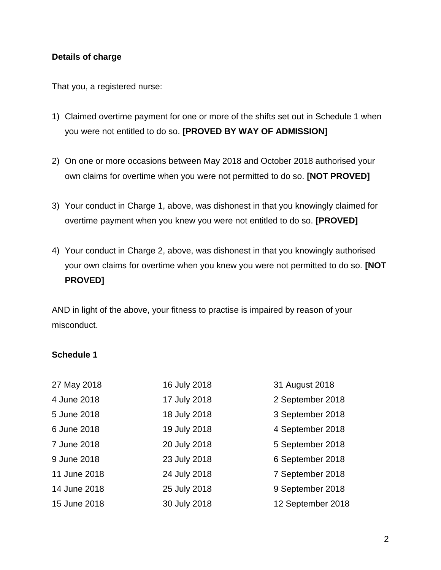## **Details of charge**

That you, a registered nurse:

- 1) Claimed overtime payment for one or more of the shifts set out in Schedule 1 when you were not entitled to do so. **[PROVED BY WAY OF ADMISSION]**
- 2) On one or more occasions between May 2018 and October 2018 authorised your own claims for overtime when you were not permitted to do so. **[NOT PROVED]**
- 3) Your conduct in Charge 1, above, was dishonest in that you knowingly claimed for overtime payment when you knew you were not entitled to do so. **[PROVED]**
- 4) Your conduct in Charge 2, above, was dishonest in that you knowingly authorised your own claims for overtime when you knew you were not permitted to do so. **[NOT PROVED]**

AND in light of the above, your fitness to practise is impaired by reason of your misconduct.

#### **Schedule 1**

| 27 May 2018  | 16 July 2018 | 31 August 2018    |
|--------------|--------------|-------------------|
| 4 June 2018  | 17 July 2018 | 2 September 2018  |
| 5 June 2018  | 18 July 2018 | 3 September 2018  |
| 6 June 2018  | 19 July 2018 | 4 September 2018  |
| 7 June 2018  | 20 July 2018 | 5 September 2018  |
| 9 June 2018  | 23 July 2018 | 6 September 2018  |
| 11 June 2018 | 24 July 2018 | 7 September 2018  |
| 14 June 2018 | 25 July 2018 | 9 September 2018  |
| 15 June 2018 | 30 July 2018 | 12 September 2018 |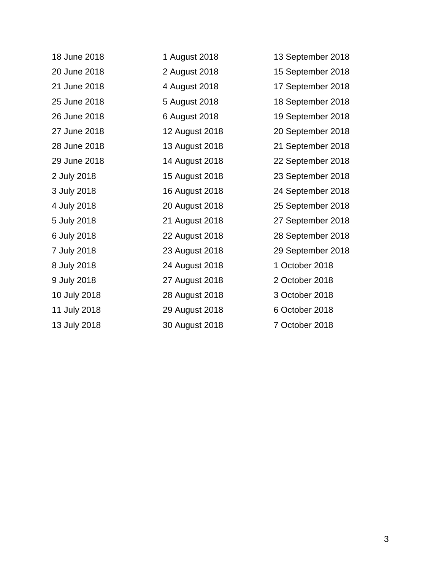| 18 June 2018 | 1 August 2018  | 13 September 2018 |
|--------------|----------------|-------------------|
| 20 June 2018 | 2 August 2018  | 15 September 2018 |
| 21 June 2018 | 4 August 2018  | 17 September 2018 |
| 25 June 2018 | 5 August 2018  | 18 September 2018 |
| 26 June 2018 | 6 August 2018  | 19 September 2018 |
| 27 June 2018 | 12 August 2018 | 20 September 2018 |
| 28 June 2018 | 13 August 2018 | 21 September 2018 |
| 29 June 2018 | 14 August 2018 | 22 September 2018 |
| 2 July 2018  | 15 August 2018 | 23 September 2018 |
| 3 July 2018  | 16 August 2018 | 24 September 2018 |
| 4 July 2018  | 20 August 2018 | 25 September 2018 |
| 5 July 2018  | 21 August 2018 | 27 September 2018 |
| 6 July 2018  | 22 August 2018 | 28 September 2018 |
| 7 July 2018  | 23 August 2018 | 29 September 2018 |
| 8 July 2018  | 24 August 2018 | 1 October 2018    |
| 9 July 2018  | 27 August 2018 | 2 October 2018    |
| 10 July 2018 | 28 August 2018 | 3 October 2018    |
| 11 July 2018 | 29 August 2018 | 6 October 2018    |
| 13 July 2018 | 30 August 2018 | 7 October 2018    |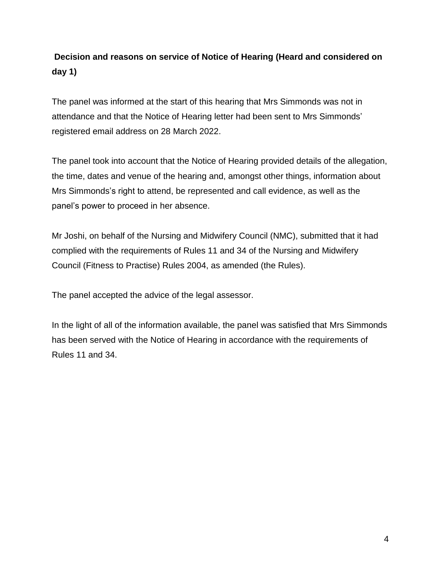# **Decision and reasons on service of Notice of Hearing (Heard and considered on day 1)**

The panel was informed at the start of this hearing that Mrs Simmonds was not in attendance and that the Notice of Hearing letter had been sent to Mrs Simmonds' registered email address on 28 March 2022.

The panel took into account that the Notice of Hearing provided details of the allegation, the time, dates and venue of the hearing and, amongst other things, information about Mrs Simmonds's right to attend, be represented and call evidence, as well as the panel's power to proceed in her absence.

Mr Joshi, on behalf of the Nursing and Midwifery Council (NMC), submitted that it had complied with the requirements of Rules 11 and 34 of the Nursing and Midwifery Council (Fitness to Practise) Rules 2004, as amended (the Rules).

The panel accepted the advice of the legal assessor.

In the light of all of the information available, the panel was satisfied that Mrs Simmonds has been served with the Notice of Hearing in accordance with the requirements of Rules 11 and 34.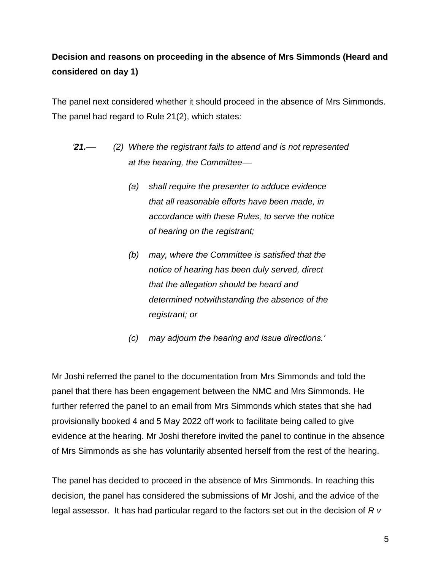# **Decision and reasons on proceeding in the absence of Mrs Simmonds (Heard and considered on day 1)**

The panel next considered whether it should proceed in the absence of Mrs Simmonds. The panel had regard to Rule 21(2), which states:

- *'21. (2) Where the registrant fails to attend and is not represented at the hearing, the Committee*
	- *(a) shall require the presenter to adduce evidence that all reasonable efforts have been made, in accordance with these Rules, to serve the notice of hearing on the registrant;*
	- *(b) may, where the Committee is satisfied that the notice of hearing has been duly served, direct that the allegation should be heard and determined notwithstanding the absence of the registrant; or*
	- *(c) may adjourn the hearing and issue directions.'*

Mr Joshi referred the panel to the documentation from Mrs Simmonds and told the panel that there has been engagement between the NMC and Mrs Simmonds. He further referred the panel to an email from Mrs Simmonds which states that she had provisionally booked 4 and 5 May 2022 off work to facilitate being called to give evidence at the hearing. Mr Joshi therefore invited the panel to continue in the absence of Mrs Simmonds as she has voluntarily absented herself from the rest of the hearing.

The panel has decided to proceed in the absence of Mrs Simmonds. In reaching this decision, the panel has considered the submissions of Mr Joshi, and the advice of the legal assessor. It has had particular regard to the factors set out in the decision of *R v*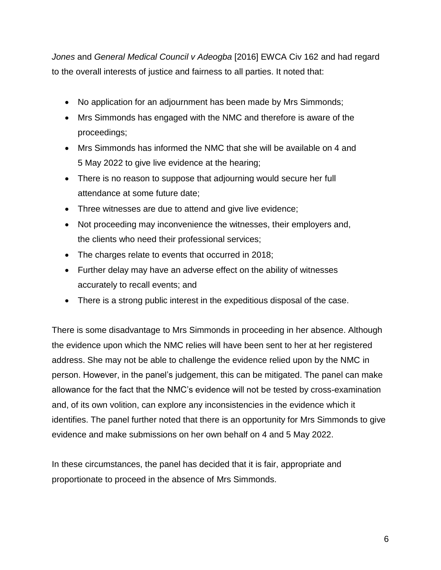*Jones* and *General Medical Council v Adeogba* [2016] EWCA Civ 162 and had regard to the overall interests of justice and fairness to all parties. It noted that:

- No application for an adjournment has been made by Mrs Simmonds;
- Mrs Simmonds has engaged with the NMC and therefore is aware of the proceedings;
- Mrs Simmonds has informed the NMC that she will be available on 4 and 5 May 2022 to give live evidence at the hearing;
- There is no reason to suppose that adjourning would secure her full attendance at some future date;
- Three witnesses are due to attend and give live evidence;
- Not proceeding may inconvenience the witnesses, their employers and, the clients who need their professional services;
- The charges relate to events that occurred in 2018;
- Further delay may have an adverse effect on the ability of witnesses accurately to recall events; and
- There is a strong public interest in the expeditious disposal of the case.

There is some disadvantage to Mrs Simmonds in proceeding in her absence. Although the evidence upon which the NMC relies will have been sent to her at her registered address. She may not be able to challenge the evidence relied upon by the NMC in person. However, in the panel's judgement, this can be mitigated. The panel can make allowance for the fact that the NMC's evidence will not be tested by cross-examination and, of its own volition, can explore any inconsistencies in the evidence which it identifies. The panel further noted that there is an opportunity for Mrs Simmonds to give evidence and make submissions on her own behalf on 4 and 5 May 2022.

In these circumstances, the panel has decided that it is fair, appropriate and proportionate to proceed in the absence of Mrs Simmonds.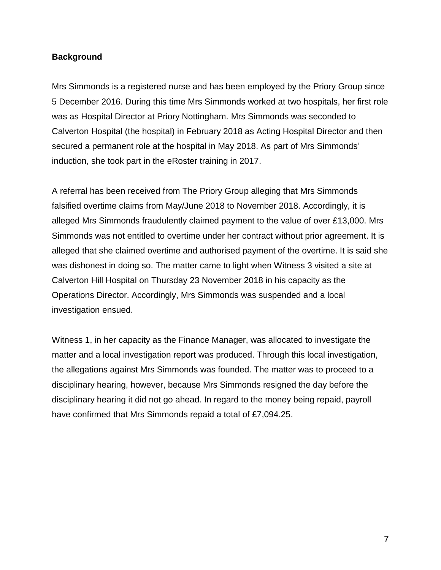#### **Background**

Mrs Simmonds is a registered nurse and has been employed by the Priory Group since 5 December 2016. During this time Mrs Simmonds worked at two hospitals, her first role was as Hospital Director at Priory Nottingham. Mrs Simmonds was seconded to Calverton Hospital (the hospital) in February 2018 as Acting Hospital Director and then secured a permanent role at the hospital in May 2018. As part of Mrs Simmonds' induction, she took part in the eRoster training in 2017.

A referral has been received from The Priory Group alleging that Mrs Simmonds falsified overtime claims from May/June 2018 to November 2018. Accordingly, it is alleged Mrs Simmonds fraudulently claimed payment to the value of over £13,000. Mrs Simmonds was not entitled to overtime under her contract without prior agreement. It is alleged that she claimed overtime and authorised payment of the overtime. It is said she was dishonest in doing so. The matter came to light when Witness 3 visited a site at Calverton Hill Hospital on Thursday 23 November 2018 in his capacity as the Operations Director. Accordingly, Mrs Simmonds was suspended and a local investigation ensued.

Witness 1, in her capacity as the Finance Manager, was allocated to investigate the matter and a local investigation report was produced. Through this local investigation, the allegations against Mrs Simmonds was founded. The matter was to proceed to a disciplinary hearing, however, because Mrs Simmonds resigned the day before the disciplinary hearing it did not go ahead. In regard to the money being repaid, payroll have confirmed that Mrs Simmonds repaid a total of £7,094.25.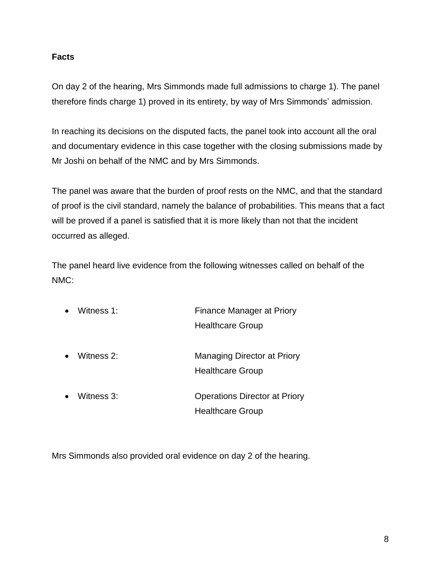## **Facts**

On day 2 of the hearing, Mrs Simmonds made full admissions to charge 1). The panel therefore finds charge 1) proved in its entirety, by way of Mrs Simmonds' admission.

In reaching its decisions on the disputed facts, the panel took into account all the oral and documentary evidence in this case together with the closing submissions made by Mr Joshi on behalf of the NMC and by Mrs Simmonds.

The panel was aware that the burden of proof rests on the NMC, and that the standard of proof is the civil standard, namely the balance of probabilities. This means that a fact will be proved if a panel is satisfied that it is more likely than not that the incident occurred as alleged.

The panel heard live evidence from the following witnesses called on behalf of the NMC:

| Witness 1: | Finance Manager at Priory            |
|------------|--------------------------------------|
|            | <b>Healthcare Group</b>              |
|            |                                      |
| Witness 2: | Managing Director at Priory          |
|            | <b>Healthcare Group</b>              |
|            |                                      |
| Witness 3: | <b>Operations Director at Priory</b> |
|            | <b>Healthcare Group</b>              |

Mrs Simmonds also provided oral evidence on day 2 of the hearing.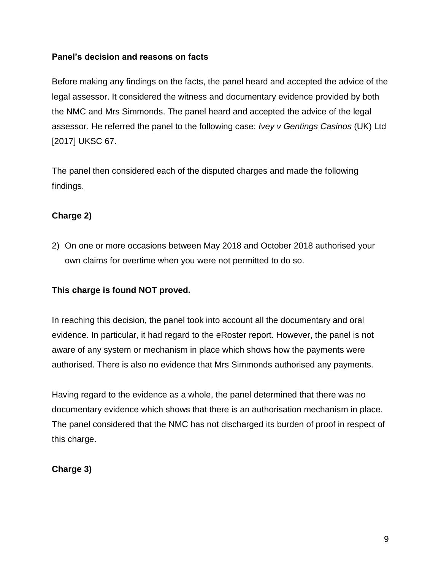## **Panel's decision and reasons on facts**

Before making any findings on the facts, the panel heard and accepted the advice of the legal assessor. It considered the witness and documentary evidence provided by both the NMC and Mrs Simmonds. The panel heard and accepted the advice of the legal assessor. He referred the panel to the following case: *Ivey v Gentings Casinos* (UK) Ltd [2017] UKSC 67.

The panel then considered each of the disputed charges and made the following findings.

# **Charge 2)**

2) On one or more occasions between May 2018 and October 2018 authorised your own claims for overtime when you were not permitted to do so.

## **This charge is found NOT proved.**

In reaching this decision, the panel took into account all the documentary and oral evidence. In particular, it had regard to the eRoster report. However, the panel is not aware of any system or mechanism in place which shows how the payments were authorised. There is also no evidence that Mrs Simmonds authorised any payments.

Having regard to the evidence as a whole, the panel determined that there was no documentary evidence which shows that there is an authorisation mechanism in place. The panel considered that the NMC has not discharged its burden of proof in respect of this charge.

## **Charge 3)**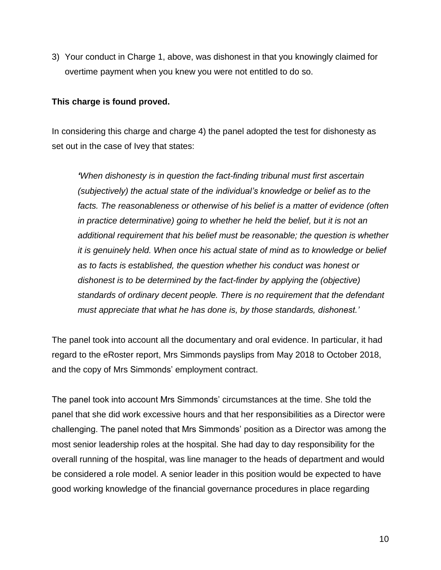3) Your conduct in Charge 1, above, was dishonest in that you knowingly claimed for overtime payment when you knew you were not entitled to do so.

#### **This charge is found proved.**

In considering this charge and charge 4) the panel adopted the test for dishonesty as set out in the case of Ivey that states:

*'When dishonesty is in question the fact-finding tribunal must first ascertain (subjectively) the actual state of the individual's knowledge or belief as to the facts. The reasonableness or otherwise of his belief is a matter of evidence (often in practice determinative) going to whether he held the belief, but it is not an additional requirement that his belief must be reasonable; the question is whether it is genuinely held. When once his actual state of mind as to knowledge or belief as to facts is established, the question whether his conduct was honest or dishonest is to be determined by the fact-finder by applying the (objective) standards of ordinary decent people. There is no requirement that the defendant must appreciate that what he has done is, by those standards, dishonest.'*

The panel took into account all the documentary and oral evidence. In particular, it had regard to the eRoster report, Mrs Simmonds payslips from May 2018 to October 2018, and the copy of Mrs Simmonds' employment contract.

The panel took into account Mrs Simmonds' circumstances at the time. She told the panel that she did work excessive hours and that her responsibilities as a Director were challenging. The panel noted that Mrs Simmonds' position as a Director was among the most senior leadership roles at the hospital. She had day to day responsibility for the overall running of the hospital, was line manager to the heads of department and would be considered a role model. A senior leader in this position would be expected to have good working knowledge of the financial governance procedures in place regarding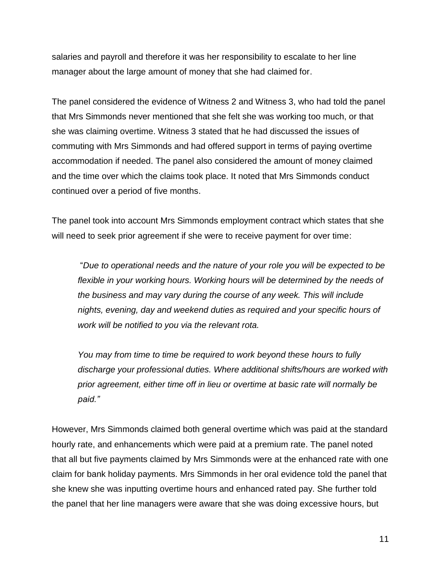salaries and payroll and therefore it was her responsibility to escalate to her line manager about the large amount of money that she had claimed for.

The panel considered the evidence of Witness 2 and Witness 3, who had told the panel that Mrs Simmonds never mentioned that she felt she was working too much, or that she was claiming overtime. Witness 3 stated that he had discussed the issues of commuting with Mrs Simmonds and had offered support in terms of paying overtime accommodation if needed. The panel also considered the amount of money claimed and the time over which the claims took place. It noted that Mrs Simmonds conduct continued over a period of five months.

The panel took into account Mrs Simmonds employment contract which states that she will need to seek prior agreement if she were to receive payment for over time:

"*Due to operational needs and the nature of your role you will be expected to be flexible in your working hours. Working hours will be determined by the needs of the business and may vary during the course of any week. This will include nights, evening, day and weekend duties as required and your specific hours of work will be notified to you via the relevant rota.*

*You may from time to time be required to work beyond these hours to fully discharge your professional duties. Where additional shifts/hours are worked with prior agreement, either time off in lieu or overtime at basic rate will normally be paid."*

However, Mrs Simmonds claimed both general overtime which was paid at the standard hourly rate, and enhancements which were paid at a premium rate. The panel noted that all but five payments claimed by Mrs Simmonds were at the enhanced rate with one claim for bank holiday payments. Mrs Simmonds in her oral evidence told the panel that she knew she was inputting overtime hours and enhanced rated pay. She further told the panel that her line managers were aware that she was doing excessive hours, but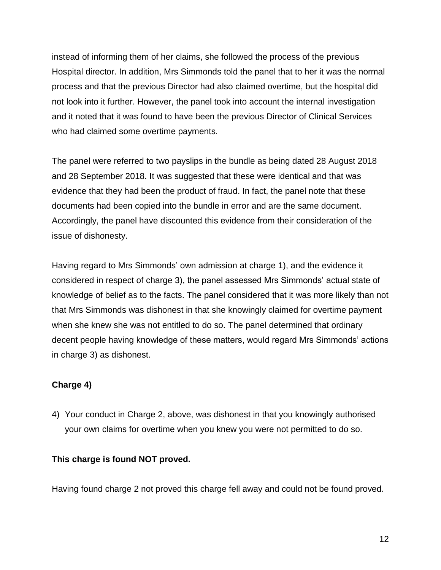instead of informing them of her claims, she followed the process of the previous Hospital director. In addition, Mrs Simmonds told the panel that to her it was the normal process and that the previous Director had also claimed overtime, but the hospital did not look into it further. However, the panel took into account the internal investigation and it noted that it was found to have been the previous Director of Clinical Services who had claimed some overtime payments.

The panel were referred to two payslips in the bundle as being dated 28 August 2018 and 28 September 2018. It was suggested that these were identical and that was evidence that they had been the product of fraud. In fact, the panel note that these documents had been copied into the bundle in error and are the same document. Accordingly, the panel have discounted this evidence from their consideration of the issue of dishonesty.

Having regard to Mrs Simmonds' own admission at charge 1), and the evidence it considered in respect of charge 3), the panel assessed Mrs Simmonds' actual state of knowledge of belief as to the facts. The panel considered that it was more likely than not that Mrs Simmonds was dishonest in that she knowingly claimed for overtime payment when she knew she was not entitled to do so. The panel determined that ordinary decent people having knowledge of these matters, would regard Mrs Simmonds' actions in charge 3) as dishonest.

## **Charge 4)**

4) Your conduct in Charge 2, above, was dishonest in that you knowingly authorised your own claims for overtime when you knew you were not permitted to do so.

## **This charge is found NOT proved.**

Having found charge 2 not proved this charge fell away and could not be found proved.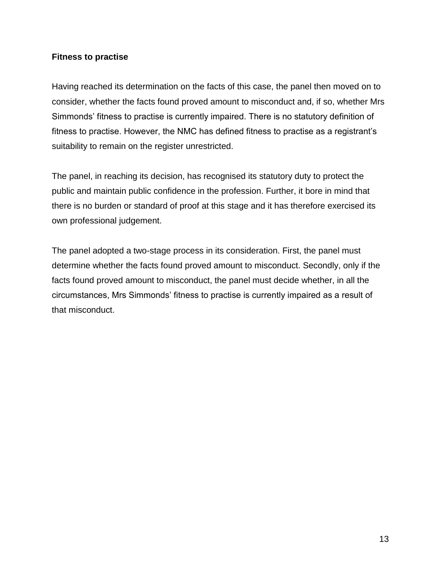### **Fitness to practise**

Having reached its determination on the facts of this case, the panel then moved on to consider, whether the facts found proved amount to misconduct and, if so, whether Mrs Simmonds' fitness to practise is currently impaired. There is no statutory definition of fitness to practise. However, the NMC has defined fitness to practise as a registrant's suitability to remain on the register unrestricted.

The panel, in reaching its decision, has recognised its statutory duty to protect the public and maintain public confidence in the profession. Further, it bore in mind that there is no burden or standard of proof at this stage and it has therefore exercised its own professional judgement.

The panel adopted a two-stage process in its consideration. First, the panel must determine whether the facts found proved amount to misconduct. Secondly, only if the facts found proved amount to misconduct, the panel must decide whether, in all the circumstances, Mrs Simmonds' fitness to practise is currently impaired as a result of that misconduct.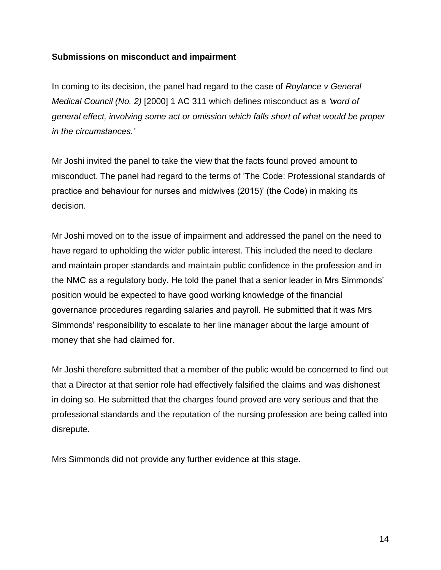### **Submissions on misconduct and impairment**

In coming to its decision, the panel had regard to the case of *Roylance v General Medical Council (No. 2)* [2000] 1 AC 311 which defines misconduct as a *'word of general effect, involving some act or omission which falls short of what would be proper in the circumstances.'*

Mr Joshi invited the panel to take the view that the facts found proved amount to misconduct. The panel had regard to the terms of 'The Code: Professional standards of practice and behaviour for nurses and midwives (2015)' (the Code) in making its decision.

Mr Joshi moved on to the issue of impairment and addressed the panel on the need to have regard to upholding the wider public interest. This included the need to declare and maintain proper standards and maintain public confidence in the profession and in the NMC as a regulatory body. He told the panel that a senior leader in Mrs Simmonds' position would be expected to have good working knowledge of the financial governance procedures regarding salaries and payroll. He submitted that it was Mrs Simmonds' responsibility to escalate to her line manager about the large amount of money that she had claimed for.

Mr Joshi therefore submitted that a member of the public would be concerned to find out that a Director at that senior role had effectively falsified the claims and was dishonest in doing so. He submitted that the charges found proved are very serious and that the professional standards and the reputation of the nursing profession are being called into disrepute.

Mrs Simmonds did not provide any further evidence at this stage.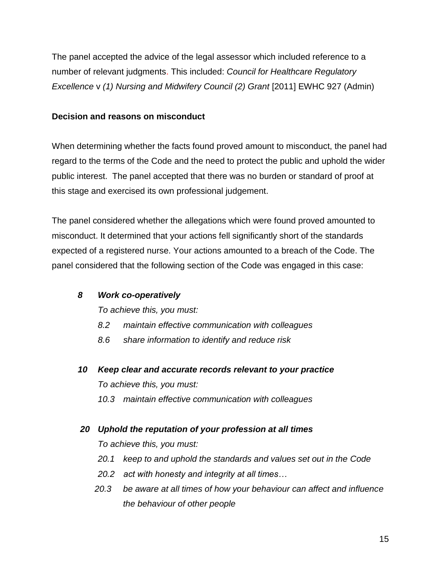The panel accepted the advice of the legal assessor which included reference to a number of relevant judgments. This included: *Council for Healthcare Regulatory Excellence* v *(1) Nursing and Midwifery Council (2) Grant* [2011] EWHC 927 (Admin)

## **Decision and reasons on misconduct**

When determining whether the facts found proved amount to misconduct, the panel had regard to the terms of the Code and the need to protect the public and uphold the wider public interest. The panel accepted that there was no burden or standard of proof at this stage and exercised its own professional judgement.

The panel considered whether the allegations which were found proved amounted to misconduct. It determined that your actions fell significantly short of the standards expected of a registered nurse. Your actions amounted to a breach of the Code. The panel considered that the following section of the Code was engaged in this case:

## *8 Work co-operatively*

*To achieve this, you must:*

- *8.2 maintain effective communication with colleagues*
- *8.6 share information to identify and reduce risk*
- *10 Keep clear and accurate records relevant to your practice To achieve this, you must:*
	- *10.3 maintain effective communication with colleagues*
- *20 Uphold the reputation of your profession at all times*
	- *To achieve this, you must:*
	- *20.1 keep to and uphold the standards and values set out in the Code*
	- *20.2 act with honesty and integrity at all times…*
	- *20.3 be aware at all times of how your behaviour can affect and influence the behaviour of other people*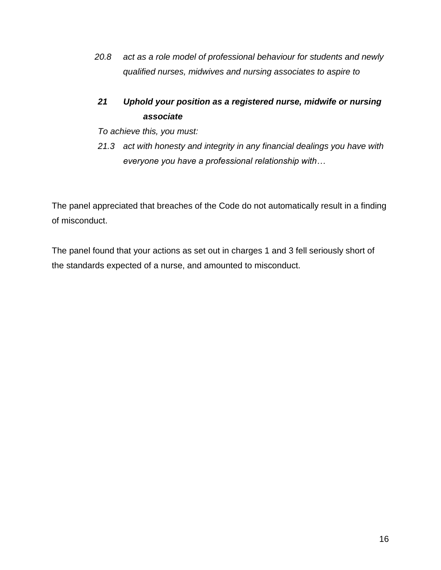*20.8 act as a role model of professional behaviour for students and newly qualified nurses, midwives and nursing associates to aspire to*

# *21 Uphold your position as a registered nurse, midwife or nursing associate*

*To achieve this, you must:*

*21.3 act with honesty and integrity in any financial dealings you have with everyone you have a professional relationship with…*

The panel appreciated that breaches of the Code do not automatically result in a finding of misconduct.

The panel found that your actions as set out in charges 1 and 3 fell seriously short of the standards expected of a nurse, and amounted to misconduct.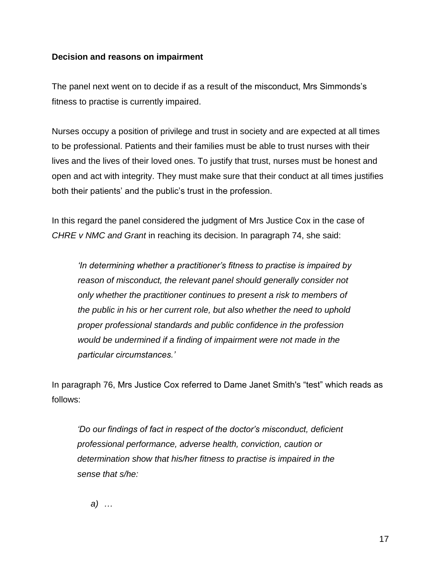#### **Decision and reasons on impairment**

The panel next went on to decide if as a result of the misconduct, Mrs Simmonds's fitness to practise is currently impaired.

Nurses occupy a position of privilege and trust in society and are expected at all times to be professional. Patients and their families must be able to trust nurses with their lives and the lives of their loved ones. To justify that trust, nurses must be honest and open and act with integrity. They must make sure that their conduct at all times justifies both their patients' and the public's trust in the profession.

In this regard the panel considered the judgment of Mrs Justice Cox in the case of *CHRE v NMC and Grant* in reaching its decision. In paragraph 74, she said:

*'In determining whether a practitioner's fitness to practise is impaired by reason of misconduct, the relevant panel should generally consider not only whether the practitioner continues to present a risk to members of the public in his or her current role, but also whether the need to uphold proper professional standards and public confidence in the profession would be undermined if a finding of impairment were not made in the particular circumstances.'*

In paragraph 76, Mrs Justice Cox referred to Dame Janet Smith's "test" which reads as follows:

*'Do our findings of fact in respect of the doctor's misconduct, deficient professional performance, adverse health, conviction, caution or determination show that his/her fitness to practise is impaired in the sense that s/he:*

*a) …*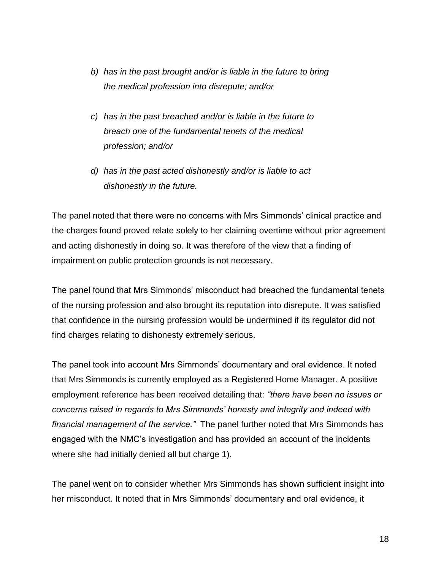- *b) has in the past brought and/or is liable in the future to bring the medical profession into disrepute; and/or*
- *c) has in the past breached and/or is liable in the future to breach one of the fundamental tenets of the medical profession; and/or*
- *d) has in the past acted dishonestly and/or is liable to act dishonestly in the future.*

The panel noted that there were no concerns with Mrs Simmonds' clinical practice and the charges found proved relate solely to her claiming overtime without prior agreement and acting dishonestly in doing so. It was therefore of the view that a finding of impairment on public protection grounds is not necessary.

The panel found that Mrs Simmonds' misconduct had breached the fundamental tenets of the nursing profession and also brought its reputation into disrepute. It was satisfied that confidence in the nursing profession would be undermined if its regulator did not find charges relating to dishonesty extremely serious.

The panel took into account Mrs Simmonds' documentary and oral evidence. It noted that Mrs Simmonds is currently employed as a Registered Home Manager. A positive employment reference has been received detailing that: *"there have been no issues or concerns raised in regards to Mrs Simmonds' honesty and integrity and indeed with financial management of the service."* The panel further noted that Mrs Simmonds has engaged with the NMC's investigation and has provided an account of the incidents where she had initially denied all but charge 1).

The panel went on to consider whether Mrs Simmonds has shown sufficient insight into her misconduct. It noted that in Mrs Simmonds' documentary and oral evidence, it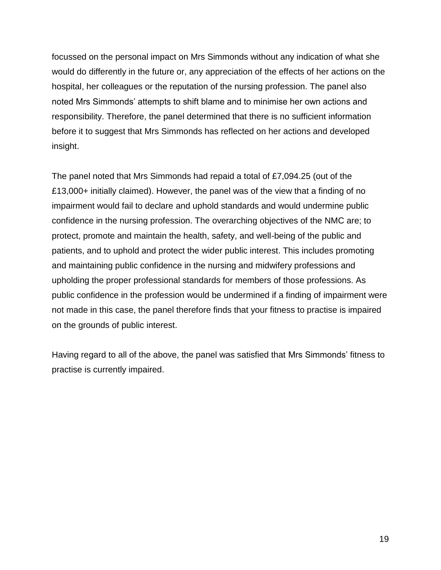focussed on the personal impact on Mrs Simmonds without any indication of what she would do differently in the future or, any appreciation of the effects of her actions on the hospital, her colleagues or the reputation of the nursing profession. The panel also noted Mrs Simmonds' attempts to shift blame and to minimise her own actions and responsibility. Therefore, the panel determined that there is no sufficient information before it to suggest that Mrs Simmonds has reflected on her actions and developed insight.

The panel noted that Mrs Simmonds had repaid a total of £7,094.25 (out of the £13,000+ initially claimed). However, the panel was of the view that a finding of no impairment would fail to declare and uphold standards and would undermine public confidence in the nursing profession. The overarching objectives of the NMC are; to protect, promote and maintain the health, safety, and well-being of the public and patients, and to uphold and protect the wider public interest. This includes promoting and maintaining public confidence in the nursing and midwifery professions and upholding the proper professional standards for members of those professions. As public confidence in the profession would be undermined if a finding of impairment were not made in this case, the panel therefore finds that your fitness to practise is impaired on the grounds of public interest.

Having regard to all of the above, the panel was satisfied that Mrs Simmonds' fitness to practise is currently impaired.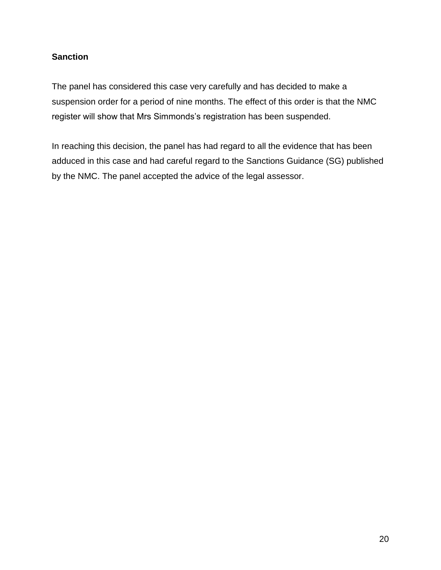## **Sanction**

The panel has considered this case very carefully and has decided to make a suspension order for a period of nine months. The effect of this order is that the NMC register will show that Mrs Simmonds's registration has been suspended.

In reaching this decision, the panel has had regard to all the evidence that has been adduced in this case and had careful regard to the Sanctions Guidance (SG) published by the NMC. The panel accepted the advice of the legal assessor.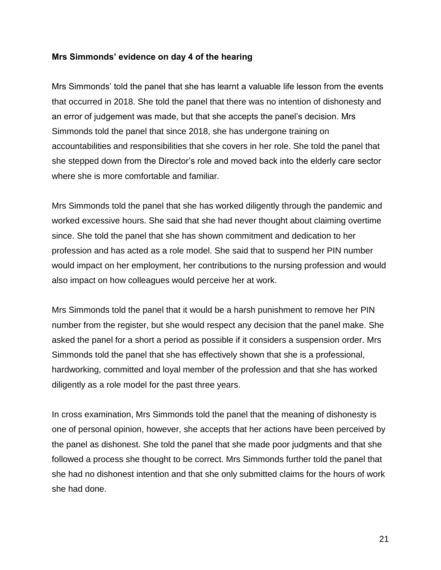#### **Mrs Simmonds' evidence on day 4 of the hearing**

Mrs Simmonds' told the panel that she has learnt a valuable life lesson from the events that occurred in 2018. She told the panel that there was no intention of dishonesty and an error of judgement was made, but that she accepts the panel's decision. Mrs Simmonds told the panel that since 2018, she has undergone training on accountabilities and responsibilities that she covers in her role. She told the panel that she stepped down from the Director's role and moved back into the elderly care sector where she is more comfortable and familiar.

Mrs Simmonds told the panel that she has worked diligently through the pandemic and worked excessive hours. She said that she had never thought about claiming overtime since. She told the panel that she has shown commitment and dedication to her profession and has acted as a role model. She said that to suspend her PIN number would impact on her employment, her contributions to the nursing profession and would also impact on how colleagues would perceive her at work.

Mrs Simmonds told the panel that it would be a harsh punishment to remove her PIN number from the register, but she would respect any decision that the panel make. She asked the panel for a short a period as possible if it considers a suspension order. Mrs Simmonds told the panel that she has effectively shown that she is a professional, hardworking, committed and loyal member of the profession and that she has worked diligently as a role model for the past three years.

In cross examination, Mrs Simmonds told the panel that the meaning of dishonesty is one of personal opinion, however, she accepts that her actions have been perceived by the panel as dishonest. She told the panel that she made poor judgments and that she followed a process she thought to be correct. Mrs Simmonds further told the panel that she had no dishonest intention and that she only submitted claims for the hours of work she had done.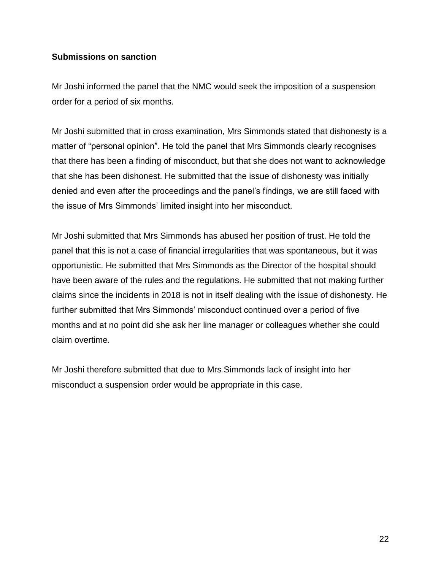#### **Submissions on sanction**

Mr Joshi informed the panel that the NMC would seek the imposition of a suspension order for a period of six months.

Mr Joshi submitted that in cross examination, Mrs Simmonds stated that dishonesty is a matter of "personal opinion". He told the panel that Mrs Simmonds clearly recognises that there has been a finding of misconduct, but that she does not want to acknowledge that she has been dishonest. He submitted that the issue of dishonesty was initially denied and even after the proceedings and the panel's findings, we are still faced with the issue of Mrs Simmonds' limited insight into her misconduct.

Mr Joshi submitted that Mrs Simmonds has abused her position of trust. He told the panel that this is not a case of financial irregularities that was spontaneous, but it was opportunistic. He submitted that Mrs Simmonds as the Director of the hospital should have been aware of the rules and the regulations. He submitted that not making further claims since the incidents in 2018 is not in itself dealing with the issue of dishonesty. He further submitted that Mrs Simmonds' misconduct continued over a period of five months and at no point did she ask her line manager or colleagues whether she could claim overtime.

Mr Joshi therefore submitted that due to Mrs Simmonds lack of insight into her misconduct a suspension order would be appropriate in this case.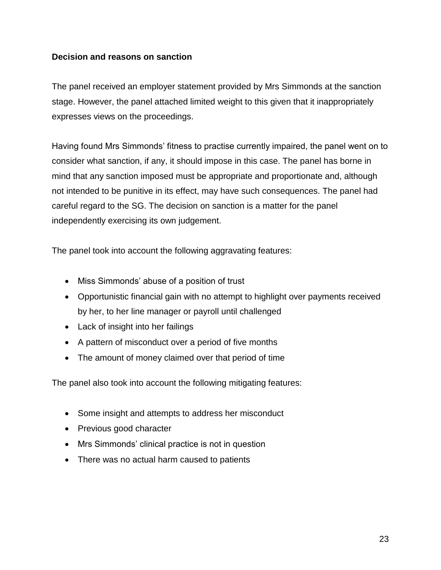### **Decision and reasons on sanction**

The panel received an employer statement provided by Mrs Simmonds at the sanction stage. However, the panel attached limited weight to this given that it inappropriately expresses views on the proceedings.

Having found Mrs Simmonds' fitness to practise currently impaired, the panel went on to consider what sanction, if any, it should impose in this case. The panel has borne in mind that any sanction imposed must be appropriate and proportionate and, although not intended to be punitive in its effect, may have such consequences. The panel had careful regard to the SG. The decision on sanction is a matter for the panel independently exercising its own judgement.

The panel took into account the following aggravating features:

- Miss Simmonds' abuse of a position of trust
- Opportunistic financial gain with no attempt to highlight over payments received by her, to her line manager or payroll until challenged
- Lack of insight into her failings
- A pattern of misconduct over a period of five months
- The amount of money claimed over that period of time

The panel also took into account the following mitigating features:

- Some insight and attempts to address her misconduct
- Previous good character
- Mrs Simmonds' clinical practice is not in question
- There was no actual harm caused to patients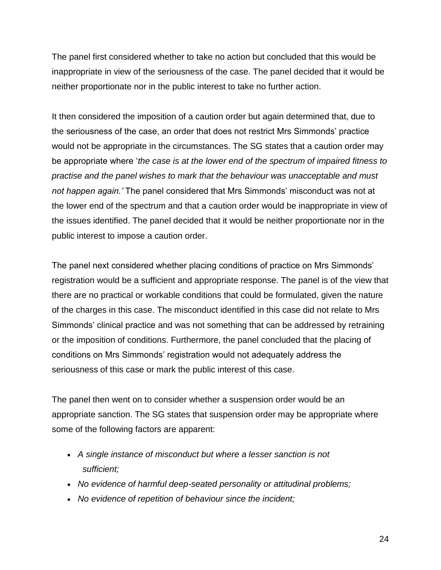The panel first considered whether to take no action but concluded that this would be inappropriate in view of the seriousness of the case. The panel decided that it would be neither proportionate nor in the public interest to take no further action.

It then considered the imposition of a caution order but again determined that, due to the seriousness of the case, an order that does not restrict Mrs Simmonds' practice would not be appropriate in the circumstances. The SG states that a caution order may be appropriate where '*the case is at the lower end of the spectrum of impaired fitness to practise and the panel wishes to mark that the behaviour was unacceptable and must not happen again.'* The panel considered that Mrs Simmonds' misconduct was not at the lower end of the spectrum and that a caution order would be inappropriate in view of the issues identified. The panel decided that it would be neither proportionate nor in the public interest to impose a caution order.

The panel next considered whether placing conditions of practice on Mrs Simmonds' registration would be a sufficient and appropriate response. The panel is of the view that there are no practical or workable conditions that could be formulated, given the nature of the charges in this case. The misconduct identified in this case did not relate to Mrs Simmonds' clinical practice and was not something that can be addressed by retraining or the imposition of conditions. Furthermore, the panel concluded that the placing of conditions on Mrs Simmonds' registration would not adequately address the seriousness of this case or mark the public interest of this case.

The panel then went on to consider whether a suspension order would be an appropriate sanction. The SG states that suspension order may be appropriate where some of the following factors are apparent:

- *A single instance of misconduct but where a lesser sanction is not sufficient;*
- *No evidence of harmful deep-seated personality or attitudinal problems;*
- *No evidence of repetition of behaviour since the incident;*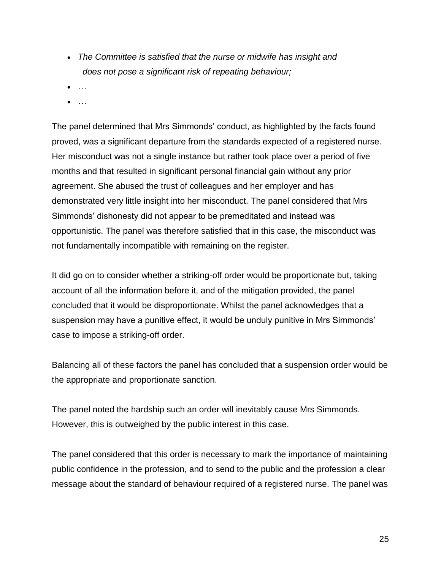- *The Committee is satisfied that the nurse or midwife has insight and does not pose a significant risk of repeating behaviour;*
- *…*
- *…*

The panel determined that Mrs Simmonds' conduct, as highlighted by the facts found proved, was a significant departure from the standards expected of a registered nurse. Her misconduct was not a single instance but rather took place over a period of five months and that resulted in significant personal financial gain without any prior agreement. She abused the trust of colleagues and her employer and has demonstrated very little insight into her misconduct. The panel considered that Mrs Simmonds' dishonesty did not appear to be premeditated and instead was opportunistic. The panel was therefore satisfied that in this case, the misconduct was not fundamentally incompatible with remaining on the register.

It did go on to consider whether a striking-off order would be proportionate but, taking account of all the information before it, and of the mitigation provided, the panel concluded that it would be disproportionate. Whilst the panel acknowledges that a suspension may have a punitive effect, it would be unduly punitive in Mrs Simmonds' case to impose a striking-off order.

Balancing all of these factors the panel has concluded that a suspension order would be the appropriate and proportionate sanction.

The panel noted the hardship such an order will inevitably cause Mrs Simmonds. However, this is outweighed by the public interest in this case.

The panel considered that this order is necessary to mark the importance of maintaining public confidence in the profession, and to send to the public and the profession a clear message about the standard of behaviour required of a registered nurse. The panel was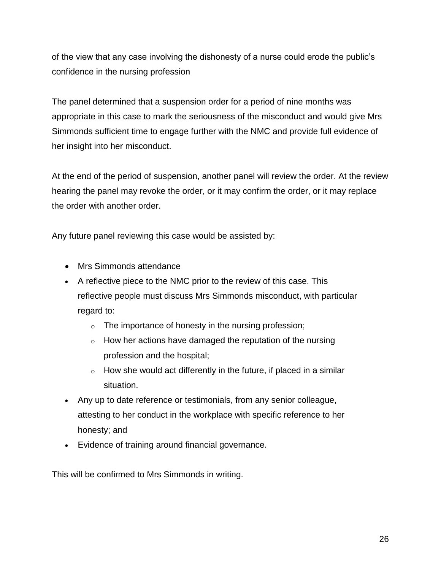of the view that any case involving the dishonesty of a nurse could erode the public's confidence in the nursing profession

The panel determined that a suspension order for a period of nine months was appropriate in this case to mark the seriousness of the misconduct and would give Mrs Simmonds sufficient time to engage further with the NMC and provide full evidence of her insight into her misconduct.

At the end of the period of suspension, another panel will review the order. At the review hearing the panel may revoke the order, or it may confirm the order, or it may replace the order with another order.

Any future panel reviewing this case would be assisted by:

- Mrs Simmonds attendance
- A reflective piece to the NMC prior to the review of this case. This reflective people must discuss Mrs Simmonds misconduct, with particular regard to:
	- $\circ$  The importance of honesty in the nursing profession;
	- $\circ$  How her actions have damaged the reputation of the nursing profession and the hospital;
	- $\circ$  How she would act differently in the future, if placed in a similar situation.
- Any up to date reference or testimonials, from any senior colleague, attesting to her conduct in the workplace with specific reference to her honesty; and
- Evidence of training around financial governance.

This will be confirmed to Mrs Simmonds in writing.